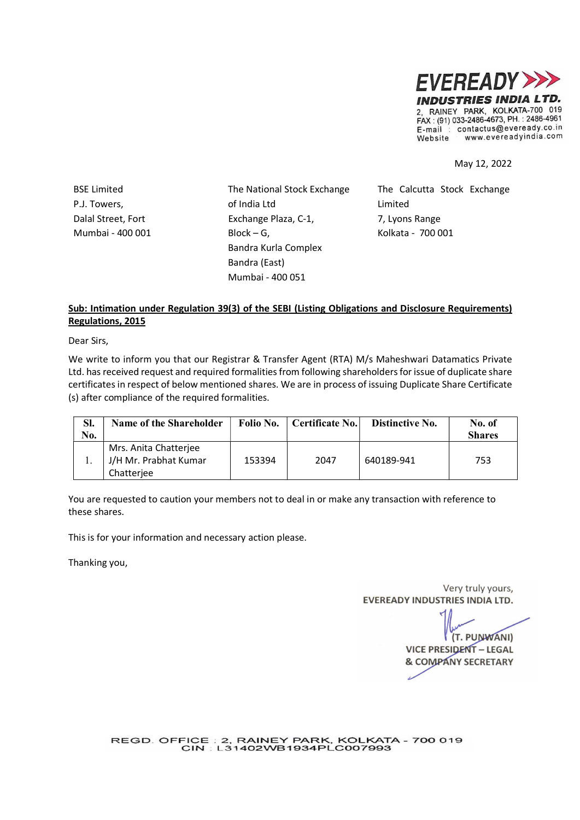

May 12, 2022

P.J. Towers, Dalal Street, Fort Mumbai - 400 001

BSE Limited The National Stock Exchange of India Ltd Exchange Plaza, C-1,  $Block - G$ , Bandra Kurla Complex Bandra (East) Mumbai - 400 051

The Calcutta Stock Exchange Limited 7, Lyons Range Kolkata - 700 001

## Sub: Intimation under Regulation 39(3) of the SEBI (Listing Obligations and Disclosure Requirements) Regulations, 2015

Dear Sirs,

We write to inform you that our Registrar & Transfer Agent (RTA) M/s Maheshwari Datamatics Private Ltd. has received request and required formalities from following shareholders for issue of duplicate share certificates in respect of below mentioned shares. We are in process of issuing Duplicate Share Certificate (s) after compliance of the required formalities.

| Sl.<br>No. | Name of the Shareholder                                      | Folio No. | Certificate No. | Distinctive No. | No. of<br><b>Shares</b> |
|------------|--------------------------------------------------------------|-----------|-----------------|-----------------|-------------------------|
|            | Mrs. Anita Chatterjee<br>J/H Mr. Prabhat Kumar<br>Chatterjee | 153394    | 2047            | 640189-941      | 753                     |

You are requested to caution your members not to deal in or make any transaction with reference to these shares.

This is for your information and necessary action please.

Thanking you,

Very truly yours, **EVEREADY INDUSTRIES INDIA LTD.** 

(T. PUNWANI) **VICE PRESIDENT - LEGAL & COMPANY SECRETARY** 

REGD. OFFICE : 2, RAINEY PARK, KOLKATA - 700 019<br>CIN : L31402WB1934PLC007993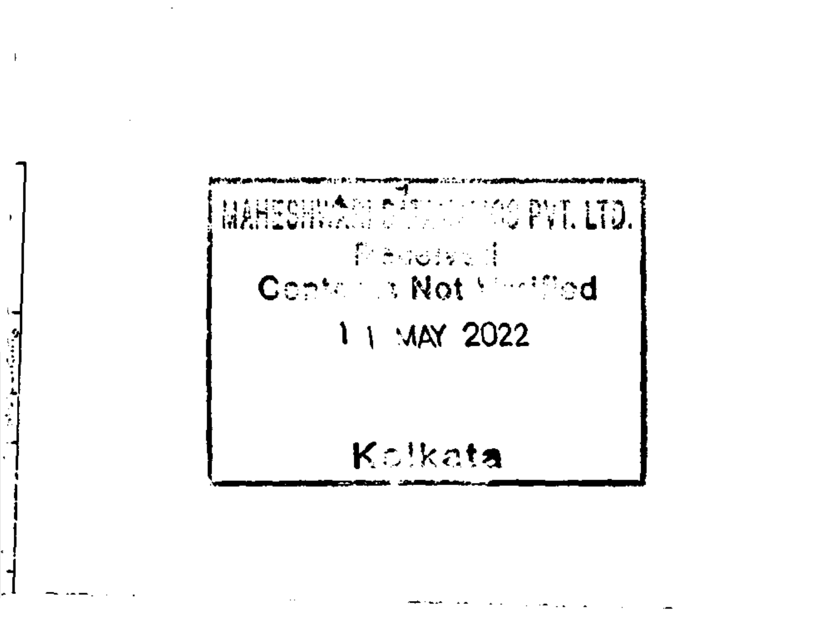